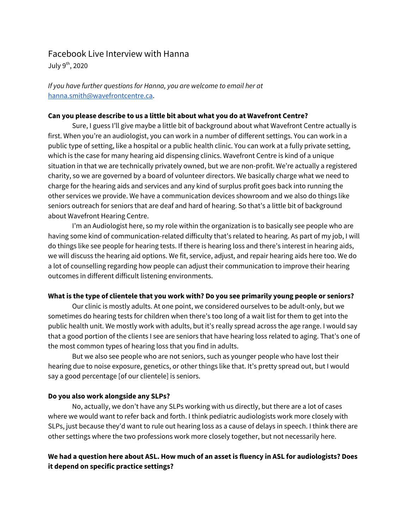## Facebook Live Interview with Hanna

July 9<sup>th</sup>, 2020

*If you have further questions for Hanna, you are welcome to email her at* [hanna.smith@wavefrontcentre.ca.](mailto:hanna.smith@wavefrontcentre.ca)

#### **Can you please describe to us a little bit about what you do at Wavefront Centre?**

Sure, I guess I'll give maybe a little bit of background about what Wavefront Centre actually is first. When you're an audiologist, you can work in a number of different settings. You can work in a public type of setting, like a hospital or a public health clinic. You can work at a fully private setting, which is the case for many hearing aid dispensing clinics. Wavefront Centre is kind of a unique situation in that we are technically privately owned, but we are non-profit. We're actually a registered charity, so we are governed by a board of volunteer directors. We basically charge what we need to charge for the hearing aids and services and any kind of surplus profit goes back into running the other services we provide. We have a communication devices showroom and we also do things like seniors outreach for seniors that are deaf and hard of hearing. So that's a little bit of background about Wavefront Hearing Centre.

I'm an Audiologist here, so my role within the organization is to basically see people who are having some kind of communication-related difficulty that's related to hearing. As part of my job, I will do things like see people for hearing tests. If there is hearing loss and there's interest in hearing aids, we will discuss the hearing aid options. We fit, service, adjust, and repair hearing aids here too. We do a lot of counselling regarding how people can adjust their communication to improve their hearing outcomes in different difficult listening environments.

### **What is the type of clientele that you work with? Do you see primarily young people or seniors?**

Our clinic is mostly adults. At one point, we considered ourselves to be adult-only, but we sometimes do hearing tests for children when there's too long of a wait list for them to get into the public health unit. We mostly work with adults, but it's really spread across the age range. I would say that a good portion of the clients I see are seniors that have hearing loss related to aging. That's one of the most common types of hearing loss that you find in adults.

But we also see people who are not seniors, such as younger people who have lost their hearing due to noise exposure, genetics, or other things like that. It's pretty spread out, but I would say a good percentage [of our clientele] is seniors.

### **Do you also work alongside any SLPs?**

No, actually, we don't have any SLPs working with us directly, but there are a lot of cases where we would want to refer back and forth. I think pediatric audiologists work more closely with SLPs, just because they'd want to rule out hearing loss as a cause of delays in speech. I think there are other settings where the two professions work more closely together, but not necessarily here.

## We had a question here about ASL. How much of an asset is fluency in ASL for audiologists? Does **it depend on specific practice settings?**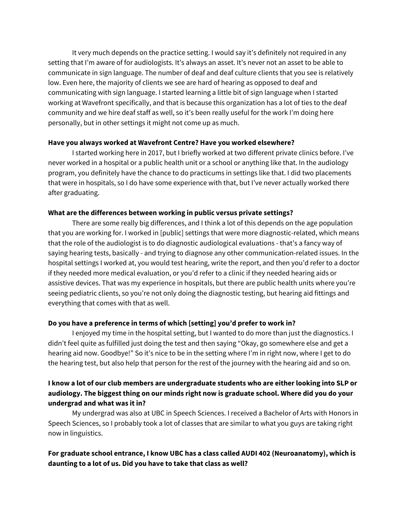It very much depends on the practice setting. I would say it's definitely not required in any setting that I'm aware of for audiologists. It's always an asset. It's never not an asset to be able to communicate in sign language. The number of deaf and deaf culture clients that you see is relatively low. Even here, the majority of clients we see are hard of hearing as opposed to deaf and communicating with sign language. I started learning a little bit of sign language when I started working at Wavefront specifically, and that is because this organization has a lot of ties to the deaf community and we hire deaf staff as well, so it's been really useful for the work I'm doing here personally, but in other settings it might not come up as much.

#### **Have you always worked at Wavefront Centre? Have you worked elsewhere?**

I started working here in 2017, but I briefly worked at two different private clinics before. I've never worked in a hospital or a public health unit or a school or anything like that. In the audiology program, you definitely have the chance to do practicums in settings like that. I did two placements that were in hospitals, so I do have some experience with that, but I've never actually worked there after graduating.

### **What are the differences between working in public versus private settings?**

There are some really big differences, and I think a lot of this depends on the age population that you are working for. I worked in [public] settings that were more diagnostic-related, which means that the role of the audiologist is to do diagnostic audiological evaluations - that's a fancy way of saying hearing tests, basically - and trying to diagnose any other communication-related issues. In the hospital settings I worked at, you would test hearing, write the report, and then you'd refer to a doctor if they needed more medical evaluation, or you'd refer to a clinic if they needed hearing aids or assistive devices. That was my experience in hospitals, but there are public health units where you're seeing pediatric clients, so you're not only doing the diagnostic testing, but hearing aid fittings and everything that comes with that as well.

### **Do you have a preference in terms of which [setting] you'd prefer to work in?**

I enjoyed my time in the hospital setting, but I wanted to do more than just the diagnostics. I didn't feel quite as fulfilled just doing the test and then saying "Okay, go somewhere else and get a hearing aid now. Goodbye!" So it's nice to be in the setting where I'm in right now, where I get to do the hearing test, but also help that person for the rest of the journey with the hearing aid and so on.

## **I know a lot of our club members are undergraduate students who are either looking into SLP or audiology. The biggest thing on our minds right now is graduate school. Where did you do your undergrad and what was it in?**

My undergrad was also at UBC in Speech Sciences. I received a Bachelor of Arts with Honors in Speech Sciences, so I probably took a lot of classes that are similar to what you guys are taking right now in linguistics.

# **For graduate school entrance, I know UBC has a class called AUDI 402 (Neuroanatomy), which is daunting to a lot of us. Did you have to take that class as well?**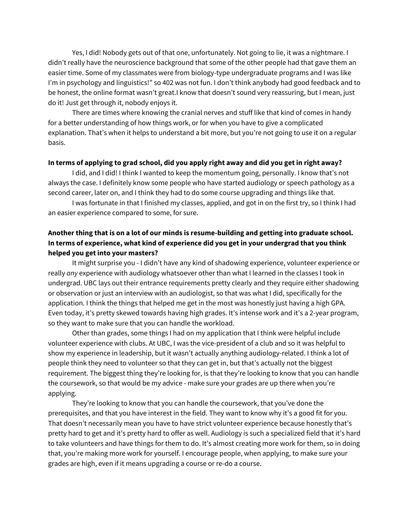Yes, I did! Nobody gets out of that one, unfortunately. Not going to lie, it was a nightmare. I didn't really have the neuroscience background that some of the other people had that gave them an easier time. Some of my classmates were from biology-type undergraduate programs and I was like I'm in psychology and linguistics!" so 402 was not fun. I don't think anybody had good feedback and to be honest, the online format wasn't great.I know that doesn't sound very reassuring, but I mean, just do it! Just get through it, nobody enjoys it.

There are times where knowing the cranial nerves and stuff like that kind of comes in handy for a better understanding of how things work, or for when you have to give a complicated explanation. That's when it helps to understand a bit more, but you're not going to use it on a regular basis.

#### In terms of applying to grad school, did you apply right away and did you get in right away?

I did, and I did! I think I wanted to keep the momentum going, personally. I know that's not always the case. I definitely know some people who have started audiology or speech pathology as a second career, later on, and I think they had to do some course upgrading and things like that.

I was fortunate in that I finished my classes, applied, and got in on the first try, so I think I had an easier experience compared to some, for sure.

# **Another thing that is on a lot of our minds is resume-building and getting into graduate school. In terms of experience, what kind of experience did you get in your undergrad that you think helped you get into your masters?**

It might surprise you - I didn't have any kind of shadowing experience, volunteer experience or really *any* experience with audiology whatsoever other than what I learned in the classes I took in undergrad. UBC lays out their entrance requirements pretty clearly and they require either shadowing or observation or just an interview with an audiologist, so that was what I did, specifically for the application. I think the things that helped me get in the most was honestly just having a high GPA. Even today, it's pretty skewed towards having high grades. It's intense work and it's a 2-year program, so they want to make sure that you can handle the workload.

Other than grades, some things I had on my application that I think were helpful include volunteer experience with clubs. At UBC, I was the vice-president of a club and so it was helpful to show my experience in leadership, but it wasn't actually anything audiology-related. I think a lot of people think they need to volunteer so that they can get in, but that's actually not the biggest requirement. The biggest thing they're looking for, is that they're looking to know that you can handle the coursework, so that would be my advice - make sure your grades are up there when you're applying.

They're looking to know that you can handle the coursework, that you've done the prerequisites, and that you have interest in the field. They want to know why it's a good fit for you. That doesn't necessarily mean you have to have strict volunteer experience because honestly that's pretty hard to get and it's pretty hard to offer as well. Audiology is such a specialized field that it's hard to take volunteers and have things for them to do. It's almost creating more work for them, so in doing that, you're making more work for yourself. I encourage people, when applying, to make sure your grades are high, even if it means upgrading a course or re-do a course.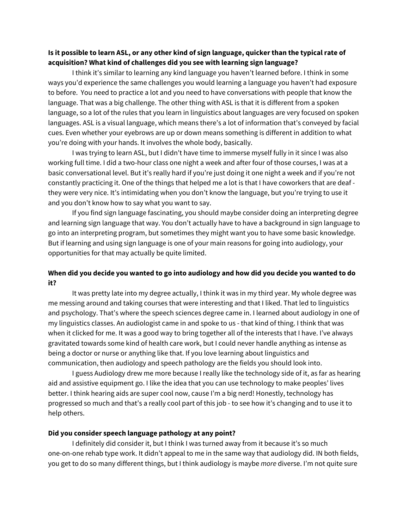### Is it possible to learn ASL, or any other kind of sign language, quicker than the typical rate of **acquisition? What kind of challenges did you see with learning sign language?**

I think it's similar to learning any kind language you haven't learned before. I think in some ways you'd experience the same challenges you would learning a language you haven't had exposure to before. You need to practice a lot and you need to have conversations with people that know the language. That was a big challenge. The other thing with ASL is that it is different from a spoken language, so a lot of the rules that you learn in linguistics about languages are very focused on spoken languages. ASL is a visual language, which means there's a lot of information that's conveyed by facial cues. Even whether your eyebrows are up or down means something is different in addition to what you're doing with your hands. It involves the whole body, basically.

I was trying to learn ASL, but I didn't have time to immerse myself fully in it since I was also working full time. I did a two-hour class one night a week and after four of those courses, I was at a basic conversational level. But it's really hard if you're just doing it one night a week and if you're not constantly practicing it. One of the things that helped me a lot is that I have coworkers that are deaf they were very nice. It's intimidating when you don't know the language, but you're trying to use it and you don't know how to say what you want to say.

If you find sign language fascinating, you should maybe consider doing an interpreting degree and learning sign language that way. You don't actually have to have a background in sign language to go into an interpreting program, but sometimes they might want you to have some basic knowledge. But if learning and using sign language is one of your main reasons for going into audiology, your opportunities for that may actually be quite limited.

### **When did you decide you wanted to go into audiology and how did you decide you wanted to do it?**

It was pretty late into my degree actually, I think it was in my third year. My whole degree was me messing around and taking courses that were interesting and that I liked. That led to linguistics and psychology. That's where the speech sciences degree came in. I learned about audiology in one of my linguistics classes. An audiologist came in and spoke to us - that kind of thing. I think that was when it clicked for me. It was a good way to bring together all of the interests that I have. I've always gravitated towards some kind of health care work, but I could never handle anything as intense as being a doctor or nurse or anything like that. If you love learning about linguistics and communication, then audiology and speech pathology are the fields you should look into.

I guess Audiology drew me more because I really like the technology side of it, as far as hearing aid and assistive equipment go. I like the idea that you can use technology to make peoples' lives better. I think hearing aids are super cool now, cause I'm a big nerd! Honestly, technology has progressed so much and that's a really cool part of this job - to see how it's changing and to use it to help others.

#### **Did you consider speech language pathology at any point?**

I definitely did consider it, but I think I was turned away from it because it's so much one-on-one rehab type work. It didn't appeal to me in the same way that audiology did. IN both fields, you get to do so many different things, but I think audiology is maybe *more* diverse. I'm not quite sure